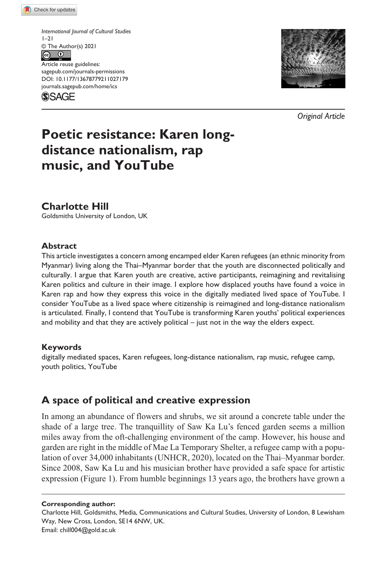*International Journal of Cultural Studies*   $1 - 21$  $\circledcirc$  The Author(s) 2021

https://doi.org/10.1177/13678779211027179 DOI: 10.1177/13678779211027179 Article reuse guidelines: [sagepub.com/journals-permissions](https://uk.sagepub.com/en-gb/journals-permissions) [journals.sagepub.com/home/ics](https://journals.sagepub.com/home/ics)

**SSAGE** 



*Original Article*

# **Poetic resistance: Karen longdistance nationalism, rap music, and YouTube**

**Charlotte Hill**

Goldsmiths University of London, UK

#### **Abstract**

This article investigates a concern among encamped elder Karen refugees (an ethnic minority from Myanmar) living along the Thai–Myanmar border that the youth are disconnected politically and culturally. I argue that Karen youth are creative, active participants, reimagining and revitalising Karen politics and culture in their image. I explore how displaced youths have found a voice in Karen rap and how they express this voice in the digitally mediated lived space of YouTube. I consider YouTube as a lived space where citizenship is reimagined and long-distance nationalism is articulated. Finally, I contend that YouTube is transforming Karen youths' political experiences and mobility and that they are actively political – just not in the way the elders expect.

#### **Keywords**

digitally mediated spaces, Karen refugees, long-distance nationalism, rap music, refugee camp, youth politics, YouTube

# **A space of political and creative expression**

In among an abundance of flowers and shrubs, we sit around a concrete table under the shade of a large tree. The tranquillity of Saw Ka Lu's fenced garden seems a million miles away from the oft-challenging environment of the camp. However, his house and garden are right in the middle of Mae La Temporary Shelter, a refugee camp with a population of over 34,000 inhabitants (UNHCR, 2020), located on the Thai–Myanmar border. Since 2008, Saw Ka Lu and his musician brother have provided a safe space for artistic expression (Figure 1). From humble beginnings 13 years ago, the brothers have grown a

**Corresponding author:**

Charlotte Hill, Goldsmiths, Media, Communications and Cultural Studies, University of London, 8 Lewisham Way, New Cross, London, SE14 6NW, UK.

Email: [chill004@gold.ac.uk](mailto:chill004@gold.ac.uk)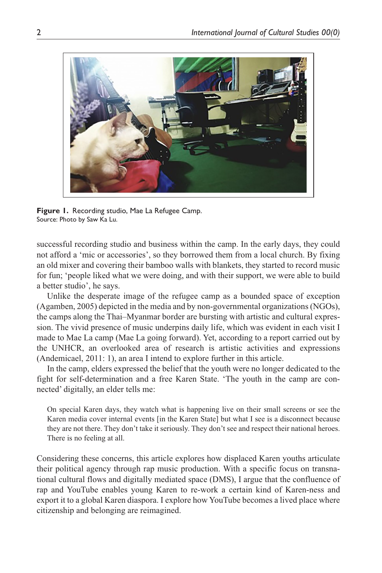

**Figure 1.** Recording studio, Mae La Refugee Camp. Source: Photo by Saw Ka Lu.

successful recording studio and business within the camp. In the early days, they could not afford a 'mic or accessories', so they borrowed them from a local church. By fixing an old mixer and covering their bamboo walls with blankets, they started to record music for fun; 'people liked what we were doing, and with their support, we were able to build a better studio', he says.

Unlike the desperate image of the refugee camp as a bounded space of exception (Agamben, 2005) depicted in the media and by non-governmental organizations (NGOs), the camps along the Thai–Myanmar border are bursting with artistic and cultural expression. The vivid presence of music underpins daily life, which was evident in each visit I made to Mae La camp (Mae La going forward). Yet, according to a report carried out by the UNHCR, an overlooked area of research is artistic activities and expressions (Andemicael, 2011: 1), an area I intend to explore further in this article.

In the camp, elders expressed the belief that the youth were no longer dedicated to the fight for self-determination and a free Karen State. 'The youth in the camp are connected' digitally, an elder tells me:

On special Karen days, they watch what is happening live on their small screens or see the Karen media cover internal events [in the Karen State] but what I see is a disconnect because they are not there. They don't take it seriously. They don't see and respect their national heroes. There is no feeling at all.

Considering these concerns, this article explores how displaced Karen youths articulate their political agency through rap music production. With a specific focus on transnational cultural flows and digitally mediated space (DMS), I argue that the confluence of rap and YouTube enables young Karen to re-work a certain kind of Karen-ness and export it to a global Karen diaspora. I explore how YouTube becomes a lived place where citizenship and belonging are reimagined.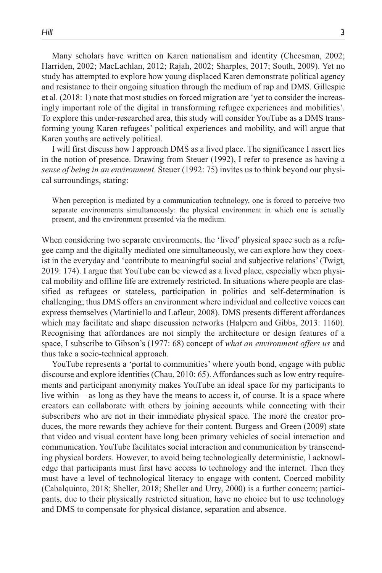Many scholars have written on Karen nationalism and identity (Cheesman, 2002; Harriden, 2002; MacLachlan, 2012; Rajah, 2002; Sharples, 2017; South, 2009). Yet no study has attempted to explore how young displaced Karen demonstrate political agency and resistance to their ongoing situation through the medium of rap and DMS. Gillespie et al. (2018: 1) note that most studies on forced migration are 'yet to consider the increasingly important role of the digital in transforming refugee experiences and mobilities'. To explore this under-researched area, this study will consider YouTube as a DMS transforming young Karen refugees' political experiences and mobility, and will argue that Karen youths are actively political.

I will first discuss how I approach DMS as a lived place. The significance I assert lies in the notion of presence. Drawing from Steuer (1992), I refer to presence as having a *sense of being in an environment*. Steuer (1992: 75) invites us to think beyond our physical surroundings, stating:

When perception is mediated by a communication technology, one is forced to perceive two separate environments simultaneously: the physical environment in which one is actually present, and the environment presented via the medium.

When considering two separate environments, the 'lived' physical space such as a refugee camp and the digitally mediated one simultaneously, we can explore how they coexist in the everyday and 'contribute to meaningful social and subjective relations' (Twigt, 2019: 174). I argue that YouTube can be viewed as a lived place, especially when physical mobility and offline life are extremely restricted. In situations where people are classified as refugees or stateless, participation in politics and self-determination is challenging; thus DMS offers an environment where individual and collective voices can express themselves (Martiniello and Lafleur, 2008). DMS presents different affordances which may facilitate and shape discussion networks (Halpern and Gibbs, 2013: 1160). Recognising that affordances are not simply the architecture or design features of a space, I subscribe to Gibson's (1977: 68) concept of *what an environment offers us* and thus take a socio-technical approach.

YouTube represents a 'portal to communities' where youth bond, engage with public discourse and explore identities (Chau, 2010: 65). Affordances such as low entry requirements and participant anonymity makes YouTube an ideal space for my participants to live within – as long as they have the means to access it, of course. It is a space where creators can collaborate with others by joining accounts while connecting with their subscribers who are not in their immediate physical space. The more the creator produces, the more rewards they achieve for their content. Burgess and Green (2009) state that video and visual content have long been primary vehicles of social interaction and communication. YouTube facilitates social interaction and communication by transcending physical borders. However, to avoid being technologically deterministic, I acknowledge that participants must first have access to technology and the internet. Then they must have a level of technological literacy to engage with content. Coerced mobility (Cabalquinto, 2018; Sheller, 2018; Sheller and Urry, 2000) is a further concern; participants, due to their physically restricted situation, have no choice but to use technology and DMS to compensate for physical distance, separation and absence.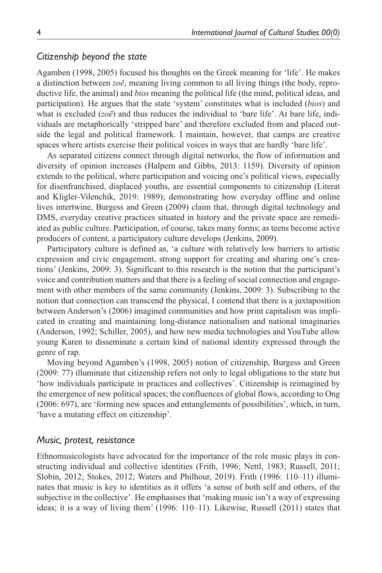### *Citizenship beyond the state*

Agamben (1998, 2005) focused his thoughts on the Greek meaning for 'life'. He makes a distinction between *zoē*, meaning living common to all living things (the body, reproductive life, the animal) and *bios* meaning the political life (the mind, political ideas, and participation). He argues that the state 'system' constitutes what is included (*bios*) and what is excluded (*zoē*) and thus reduces the individual to 'bare life'. At bare life, individuals are metaphorically 'stripped bare' and therefore excluded from and placed outside the legal and political framework. I maintain, however, that camps are creative spaces where artists exercise their political voices in ways that are hardly 'bare life'.

As separated citizens connect through digital networks, the flow of information and diversity of opinion increases (Halpern and Gibbs, 2013: 1159). Diversity of opinion extends to the political, where participation and voicing one's political views, especially for disenfranchised, displaced youths, are essential components to citizenship (Literat and Kligler-Vilenchik, 2019: 1989); demonstrating how everyday offline and online lives intertwine, Burgess and Green (2009) claim that, through digital technology and DMS, everyday creative practices situated in history and the private space are remediated as public culture. Participation, of course, takes many forms; as teens become active producers of content, a participatory culture develops (Jenkins, 2009).

Participatory culture is defined as, 'a culture with relatively low barriers to artistic expression and civic engagement, strong support for creating and sharing one's creations' (Jenkins, 2009: 3). Significant to this research is the notion that the participant's voice and contribution matters and that there is a feeling of social connection and engagement with other members of the same community (Jenkins, 2009: 3). Subscribing to the notion that connection can transcend the physical, I contend that there is a juxtaposition between Anderson's (2006) imagined communities and how print capitalism was implicated in creating and maintaining long-distance nationalism and national imaginaries (Anderson, 1992; Schiller, 2005), and how new media technologies and YouTube allow young Karen to disseminate a certain kind of national identity expressed through the genre of rap.

Moving beyond Agamben's (1998, 2005) notion of citizenship, Burgess and Green (2009: 77) illuminate that citizenship refers not only to legal obligations to the state but 'how individuals participate in practices and collectives'. Citizenship is reimagined by the emergence of new political spaces; the confluences of global flows, according to Ong (2006: 697), are 'forming new spaces and entanglements of possibilities', which, in turn, 'have a mutating effect on citizenship'.

#### *Music, protest, resistance*

Ethnomusicologists have advocated for the importance of the role music plays in constructing individual and collective identities (Frith, 1996; Nettl, 1983; Russell, 2011; Slobin, 2012; Stokes, 2012; Waters and Philhour, 2019). Frith (1996: 110–11) illuminates that music is key to identities as it offers 'a sense of both self and others, of the subjective in the collective'. He emphasises that 'making music isn't a way of expressing ideas; it is a way of living them' (1996: 110–11). Likewise, Russell (2011) states that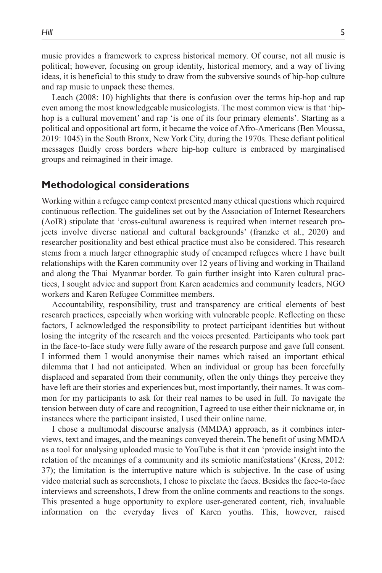music provides a framework to express historical memory. Of course, not all music is political; however, focusing on group identity, historical memory, and a way of living ideas, it is beneficial to this study to draw from the subversive sounds of hip-hop culture and rap music to unpack these themes.

Leach (2008: 10) highlights that there is confusion over the terms hip-hop and rap even among the most knowledgeable musicologists. The most common view is that 'hiphop is a cultural movement' and rap 'is one of its four primary elements'. Starting as a political and oppositional art form, it became the voice of Afro-Americans (Ben Moussa, 2019: 1045) in the South Bronx, New York City, during the 1970s. These defiant political messages fluidly cross borders where hip-hop culture is embraced by marginalised groups and reimagined in their image.

# **Methodological considerations**

Working within a refugee camp context presented many ethical questions which required continuous reflection. The guidelines set out by the Association of Internet Researchers (AoIR) stipulate that 'cross-cultural awareness is required when internet research projects involve diverse national and cultural backgrounds' (franzke et al., 2020) and researcher positionality and best ethical practice must also be considered. This research stems from a much larger ethnographic study of encamped refugees where I have built relationships with the Karen community over 12 years of living and working in Thailand and along the Thai–Myanmar border. To gain further insight into Karen cultural practices, I sought advice and support from Karen academics and community leaders, NGO workers and Karen Refugee Committee members.

Accountability, responsibility, trust and transparency are critical elements of best research practices, especially when working with vulnerable people. Reflecting on these factors, I acknowledged the responsibility to protect participant identities but without losing the integrity of the research and the voices presented. Participants who took part in the face-to-face study were fully aware of the research purpose and gave full consent. I informed them I would anonymise their names which raised an important ethical dilemma that I had not anticipated. When an individual or group has been forcefully displaced and separated from their community, often the only things they perceive they have left are their stories and experiences but, most importantly, their names. It was common for my participants to ask for their real names to be used in full. To navigate the tension between duty of care and recognition, I agreed to use either their nickname or, in instances where the participant insisted, I used their online name.

I chose a multimodal discourse analysis (MMDA) approach, as it combines interviews, text and images, and the meanings conveyed therein. The benefit of using MMDA as a tool for analysing uploaded music to YouTube is that it can 'provide insight into the relation of the meanings of a community and its semiotic manifestations' (Kress, 2012: 37); the limitation is the interruptive nature which is subjective. In the case of using video material such as screenshots, I chose to pixelate the faces. Besides the face-to-face interviews and screenshots, I drew from the online comments and reactions to the songs. This presented a huge opportunity to explore user-generated content, rich, invaluable information on the everyday lives of Karen youths. This, however, raised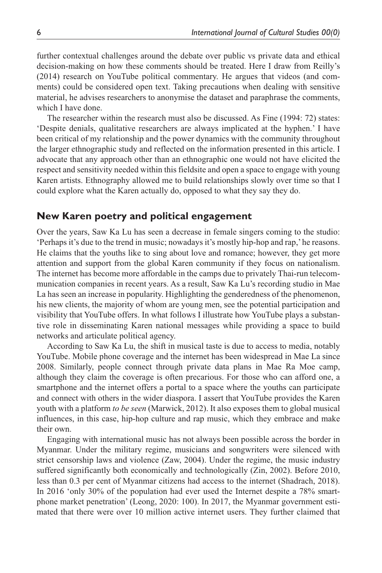further contextual challenges around the debate over public vs private data and ethical decision-making on how these comments should be treated. Here I draw from Reilly's (2014) research on YouTube political commentary. He argues that videos (and comments) could be considered open text. Taking precautions when dealing with sensitive material, he advises researchers to anonymise the dataset and paraphrase the comments, which I have done.

The researcher within the research must also be discussed. As Fine (1994: 72) states: 'Despite denials, qualitative researchers are always implicated at the hyphen.' I have been critical of my relationship and the power dynamics with the community throughout the larger ethnographic study and reflected on the information presented in this article. I advocate that any approach other than an ethnographic one would not have elicited the respect and sensitivity needed within this fieldsite and open a space to engage with young Karen artists. Ethnography allowed me to build relationships slowly over time so that I could explore what the Karen actually do, opposed to what they say they do.

# **New Karen poetry and political engagement**

Over the years, Saw Ka Lu has seen a decrease in female singers coming to the studio: 'Perhaps it's due to the trend in music; nowadays it's mostly hip-hop and rap,' he reasons. He claims that the youths like to sing about love and romance; however, they get more attention and support from the global Karen community if they focus on nationalism. The internet has become more affordable in the camps due to privately Thai-run telecommunication companies in recent years. As a result, Saw Ka Lu's recording studio in Mae La has seen an increase in popularity. Highlighting the genderedness of the phenomenon, his new clients, the majority of whom are young men, see the potential participation and visibility that YouTube offers. In what follows I illustrate how YouTube plays a substantive role in disseminating Karen national messages while providing a space to build networks and articulate political agency.

According to Saw Ka Lu, the shift in musical taste is due to access to media, notably YouTube. Mobile phone coverage and the internet has been widespread in Mae La since 2008. Similarly, people connect through private data plans in Mae Ra Moe camp, although they claim the coverage is often precarious. For those who can afford one, a smartphone and the internet offers a portal to a space where the youths can participate and connect with others in the wider diaspora. I assert that YouTube provides the Karen youth with a platform *to be seen* (Marwick, 2012). It also exposes them to global musical influences, in this case, hip-hop culture and rap music, which they embrace and make their own.

Engaging with international music has not always been possible across the border in Myanmar. Under the military regime, musicians and songwriters were silenced with strict censorship laws and violence (Zaw, 2004). Under the regime, the music industry suffered significantly both economically and technologically (Zin, 2002). Before 2010, less than 0.3 per cent of Myanmar citizens had access to the internet (Shadrach, 2018). In 2016 'only 30% of the population had ever used the Internet despite a 78% smartphone market penetration' (Leong, 2020: 100). In 2017, the Myanmar government estimated that there were over 10 million active internet users. They further claimed that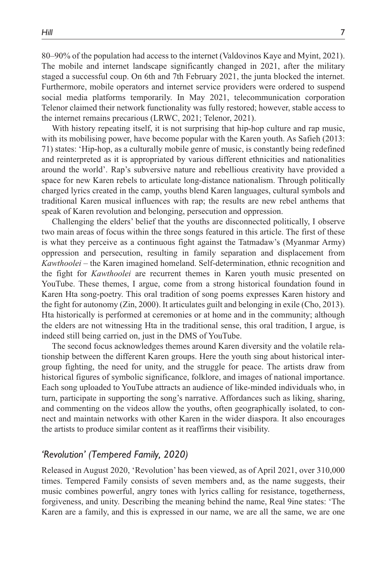80–90% of the population had access to the internet (Valdovinos Kaye and Myint, 2021). The mobile and internet landscape significantly changed in 2021, after the military staged a successful coup. On 6th and 7th February 2021, the junta blocked the internet. Furthermore, mobile operators and internet service providers were ordered to suspend social media platforms temporarily. In May 2021, telecommunication corporation Telenor claimed their network functionality was fully restored; however, stable access to the internet remains precarious (LRWC, 2021; Telenor, 2021).

With history repeating itself, it is not surprising that hip-hop culture and rap music, with its mobilising power, have become popular with the Karen youth. As Safieh (2013: 71) states: 'Hip-hop, as a culturally mobile genre of music, is constantly being redefined and reinterpreted as it is appropriated by various different ethnicities and nationalities around the world'. Rap's subversive nature and rebellious creativity have provided a space for new Karen rebels to articulate long-distance nationalism. Through politically charged lyrics created in the camp, youths blend Karen languages, cultural symbols and traditional Karen musical influences with rap; the results are new rebel anthems that speak of Karen revolution and belonging, persecution and oppression.

Challenging the elders' belief that the youths are disconnected politically, I observe two main areas of focus within the three songs featured in this article. The first of these is what they perceive as a continuous fight against the Tatmadaw's (Myanmar Army) oppression and persecution, resulting in family separation and displacement from *Kawthoolei* – the Karen imagined homeland. Self-determination, ethnic recognition and the fight for *Kawthoolei* are recurrent themes in Karen youth music presented on YouTube. These themes, I argue, come from a strong historical foundation found in Karen Hta song-poetry. This oral tradition of song poems expresses Karen history and the fight for autonomy (Zin, 2000). It articulates guilt and belonging in exile (Cho, 2013). Hta historically is performed at ceremonies or at home and in the community; although the elders are not witnessing Hta in the traditional sense, this oral tradition, I argue, is indeed still being carried on, just in the DMS of YouTube.

The second focus acknowledges themes around Karen diversity and the volatile relationship between the different Karen groups. Here the youth sing about historical intergroup fighting, the need for unity, and the struggle for peace. The artists draw from historical figures of symbolic significance, folklore, and images of national importance. Each song uploaded to YouTube attracts an audience of like-minded individuals who, in turn, participate in supporting the song's narrative. Affordances such as liking, sharing, and commenting on the videos allow the youths, often geographically isolated, to connect and maintain networks with other Karen in the wider diaspora. It also encourages the artists to produce similar content as it reaffirms their visibility.

# *'Revolution' (Tempered Family, 2020)*

Released in August 2020, 'Revolution' has been viewed, as of April 2021, over 310,000 times. Tempered Family consists of seven members and, as the name suggests, their music combines powerful, angry tones with lyrics calling for resistance, togetherness, forgiveness, and unity. Describing the meaning behind the name, Real 9ine states: 'The Karen are a family, and this is expressed in our name, we are all the same, we are one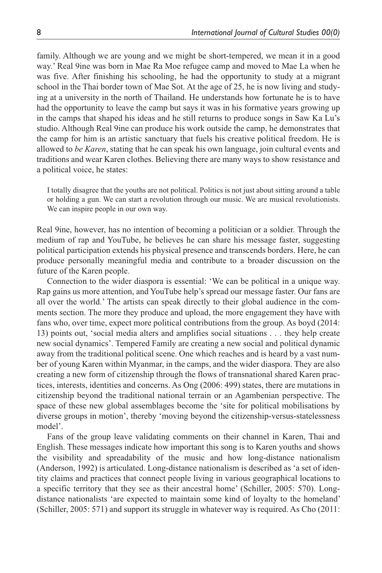family. Although we are young and we might be short-tempered, we mean it in a good way.' Real 9ine was born in Mae Ra Moe refugee camp and moved to Mae La when he was five. After finishing his schooling, he had the opportunity to study at a migrant school in the Thai border town of Mae Sot. At the age of 25, he is now living and studying at a university in the north of Thailand. He understands how fortunate he is to have had the opportunity to leave the camp but says it was in his formative years growing up in the camps that shaped his ideas and he still returns to produce songs in Saw Ka Lu's studio. Although Real 9ine can produce his work outside the camp, he demonstrates that the camp for him is an artistic sanctuary that fuels his creative political freedom. He is allowed to *be Karen*, stating that he can speak his own language, join cultural events and traditions and wear Karen clothes. Believing there are many ways to show resistance and a political voice, he states:

I totally disagree that the youths are not political. Politics is not just about sitting around a table or holding a gun. We can start a revolution through our music. We are musical revolutionists. We can inspire people in our own way.

Real 9ine, however, has no intention of becoming a politician or a soldier. Through the medium of rap and YouTube, he believes he can share his message faster, suggesting political participation extends his physical presence and transcends borders. Here, he can produce personally meaningful media and contribute to a broader discussion on the future of the Karen people.

Connection to the wider diaspora is essential: 'We can be political in a unique way. Rap gains us more attention, and YouTube help's spread our message faster. Our fans are all over the world.' The artists can speak directly to their global audience in the comments section. The more they produce and upload, the more engagement they have with fans who, over time, expect more political contributions from the group. As boyd (2014: 13) points out, 'social media alters and amplifies social situations . . . they help create new social dynamics'. Tempered Family are creating a new social and political dynamic away from the traditional political scene. One which reaches and is heard by a vast number of young Karen within Myanmar, in the camps, and the wider diaspora. They are also creating a new form of citizenship through the flows of transnational shared Karen practices, interests, identities and concerns. As Ong (2006: 499) states, there are mutations in citizenship beyond the traditional national terrain or an Agambenian perspective. The space of these new global assemblages become the 'site for political mobilisations by diverse groups in motion', thereby 'moving beyond the citizenship-versus-statelessness model'.

Fans of the group leave validating comments on their channel in Karen, Thai and English. These messages indicate how important this song is to Karen youths and shows the visibility and spreadability of the music and how long-distance nationalism (Anderson, 1992) is articulated. Long-distance nationalism is described as 'a set of identity claims and practices that connect people living in various geographical locations to a specific territory that they see as their ancestral home' (Schiller, 2005: 570). Longdistance nationalists 'are expected to maintain some kind of loyalty to the homeland' (Schiller, 2005: 571) and support its struggle in whatever way is required. As Cho (2011: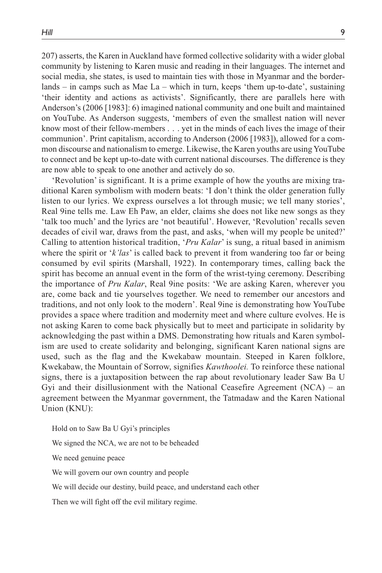207) asserts, the Karen in Auckland have formed collective solidarity with a wider global community by listening to Karen music and reading in their languages. The internet and social media, she states, is used to maintain ties with those in Myanmar and the borderlands – in camps such as Mae La – which in turn, keeps 'them up-to-date', sustaining 'their identity and actions as activists'. Significantly, there are parallels here with Anderson's (2006 [1983]: 6) imagined national community and one built and maintained on YouTube. As Anderson suggests, 'members of even the smallest nation will never know most of their fellow-members . . . yet in the minds of each lives the image of their communion'. Print capitalism, according to Anderson (2006 [1983]), allowed for a common discourse and nationalism to emerge. Likewise, the Karen youths are using YouTube to connect and be kept up-to-date with current national discourses. The difference is they are now able to speak to one another and actively do so.

'Revolution' is significant. It is a prime example of how the youths are mixing traditional Karen symbolism with modern beats: 'I don't think the older generation fully listen to our lyrics. We express ourselves a lot through music; we tell many stories', Real 9ine tells me. Law Eh Paw, an elder, claims she does not like new songs as they 'talk too much' and the lyrics are 'not beautiful'. However, 'Revolution' recalls seven decades of civil war, draws from the past, and asks, 'when will my people be united?' Calling to attention historical tradition, '*Pru Kalar*' is sung, a ritual based in animism where the spirit or '*k'las*' is called back to prevent it from wandering too far or being consumed by evil spirits (Marshall, 1922). In contemporary times, calling back the spirit has become an annual event in the form of the wrist-tying ceremony. Describing the importance of *Pru Kalar*, Real 9ine posits: 'We are asking Karen, wherever you are, come back and tie yourselves together. We need to remember our ancestors and traditions, and not only look to the modern'. Real 9ine is demonstrating how YouTube provides a space where tradition and modernity meet and where culture evolves. He is not asking Karen to come back physically but to meet and participate in solidarity by acknowledging the past within a DMS. Demonstrating how rituals and Karen symbolism are used to create solidarity and belonging, significant Karen national signs are used, such as the flag and the Kwekabaw mountain. Steeped in Karen folklore, Kwekabaw, the Mountain of Sorrow, signifies *Kawthoolei.* To reinforce these national signs, there is a juxtaposition between the rap about revolutionary leader Saw Ba U Gyi and their disillusionment with the National Ceasefire Agreement (NCA) – an agreement between the Myanmar government, the Tatmadaw and the Karen National Union (KNU):

Hold on to Saw Ba U Gyi's principles We signed the NCA, we are not to be beheaded We need genuine peace We will govern our own country and people We will decide our destiny, build peace, and understand each other Then we will fight off the evil military regime.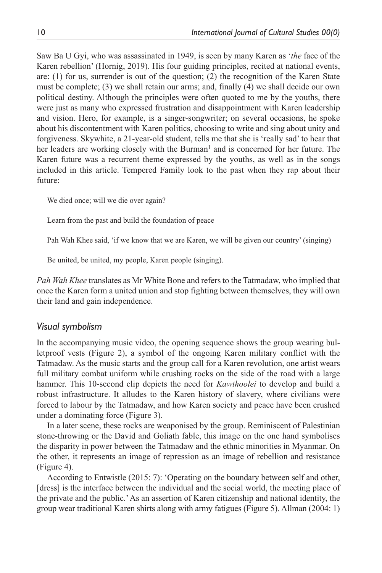Saw Ba U Gyi, who was assassinated in 1949, is seen by many Karen as '*the* face of the Karen rebellion' (Hornig, 2019). His four guiding principles, recited at national events, are: (1) for us, surrender is out of the question; (2) the recognition of the Karen State must be complete; (3) we shall retain our arms; and, finally (4) we shall decide our own political destiny. Although the principles were often quoted to me by the youths, there were just as many who expressed frustration and disappointment with Karen leadership and vision. Hero, for example, is a singer-songwriter; on several occasions, he spoke about his discontentment with Karen politics, choosing to write and sing about unity and forgiveness. Skywhite, a 21-year-old student, tells me that she is 'really sad' to hear that her leaders are working closely with the Burman<sup>1</sup> and is concerned for her future. The Karen future was a recurrent theme expressed by the youths, as well as in the songs included in this article. Tempered Family look to the past when they rap about their future:

We died once; will we die over again?

Learn from the past and build the foundation of peace

Pah Wah Khee said, 'if we know that we are Karen, we will be given our country' (singing)

Be united, be united, my people, Karen people (singing).

*Pah Wah Khee* translates as Mr White Bone and refers to the Tatmadaw, who implied that once the Karen form a united union and stop fighting between themselves, they will own their land and gain independence.

#### *Visual symbolism*

In the accompanying music video, the opening sequence shows the group wearing bulletproof vests (Figure 2), a symbol of the ongoing Karen military conflict with the Tatmadaw. As the music starts and the group call for a Karen revolution, one artist wears full military combat uniform while crushing rocks on the side of the road with a large hammer. This 10-second clip depicts the need for *Kawthoolei* to develop and build a robust infrastructure. It alludes to the Karen history of slavery, where civilians were forced to labour by the Tatmadaw, and how Karen society and peace have been crushed under a dominating force (Figure 3).

In a later scene, these rocks are weaponised by the group. Reminiscent of Palestinian stone-throwing or the David and Goliath fable, this image on the one hand symbolises the disparity in power between the Tatmadaw and the ethnic minorities in Myanmar. On the other, it represents an image of repression as an image of rebellion and resistance (Figure 4).

According to Entwistle (2015: 7): 'Operating on the boundary between self and other, [dress] is the interface between the individual and the social world, the meeting place of the private and the public.' As an assertion of Karen citizenship and national identity, the group wear traditional Karen shirts along with army fatigues (Figure 5). Allman (2004: 1)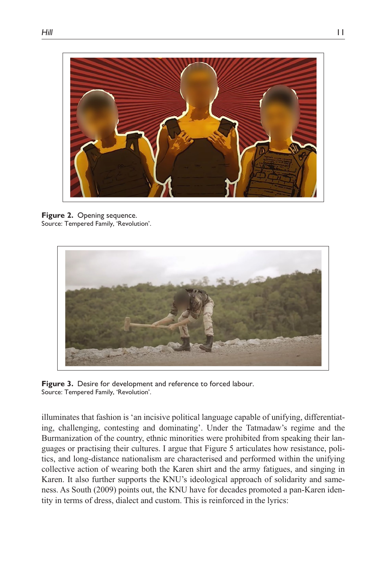

**Figure 2.** Opening sequence. Source: Tempered Family, 'Revolution'.



**Figure 3.** Desire for development and reference to forced labour. Source: Tempered Family, 'Revolution'.

illuminates that fashion is 'an incisive political language capable of unifying, differentiating, challenging, contesting and dominating'. Under the Tatmadaw's regime and the Burmanization of the country, ethnic minorities were prohibited from speaking their languages or practising their cultures. I argue that Figure 5 articulates how resistance, politics, and long-distance nationalism are characterised and performed within the unifying collective action of wearing both the Karen shirt and the army fatigues, and singing in Karen. It also further supports the KNU's ideological approach of solidarity and sameness. As South (2009) points out, the KNU have for decades promoted a pan-Karen identity in terms of dress, dialect and custom. This is reinforced in the lyrics: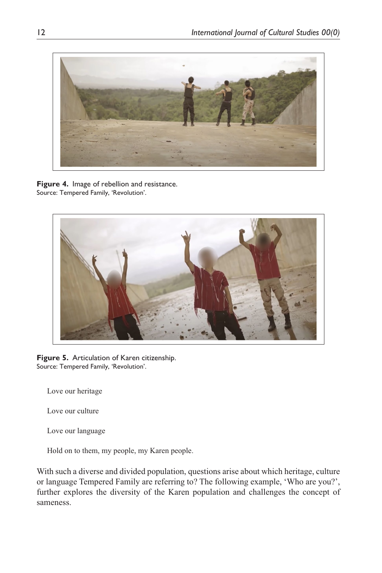

**Figure 4.** Image of rebellion and resistance. Source: Tempered Family, 'Revolution'.



**Figure 5.** Articulation of Karen citizenship. Source: Tempered Family, 'Revolution'.

Love our heritage

Love our culture

Love our language

Hold on to them, my people, my Karen people.

With such a diverse and divided population, questions arise about which heritage, culture or language Tempered Family are referring to? The following example, 'Who are you?', further explores the diversity of the Karen population and challenges the concept of sameness.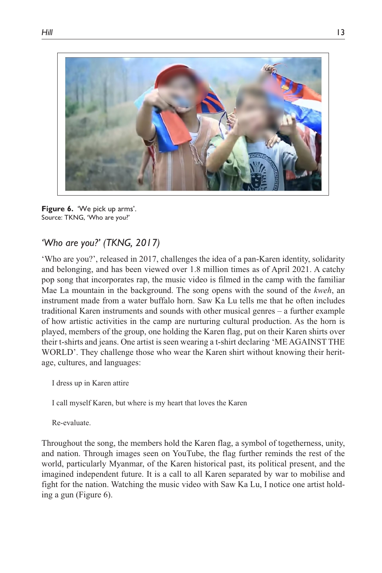

**Figure 6.** 'We pick up arms'. Source: TKNG, 'Who are you?'

# *'Who are you?' (TKNG, 2017)*

'Who are you?', released in 2017, challenges the idea of a pan-Karen identity, solidarity and belonging, and has been viewed over 1.8 million times as of April 2021. A catchy pop song that incorporates rap, the music video is filmed in the camp with the familiar Mae La mountain in the background. The song opens with the sound of the *kweh*, an instrument made from a water buffalo horn. Saw Ka Lu tells me that he often includes traditional Karen instruments and sounds with other musical genres – a further example of how artistic activities in the camp are nurturing cultural production. As the horn is played, members of the group, one holding the Karen flag, put on their Karen shirts over their t-shirts and jeans. One artist is seen wearing a t-shirt declaring 'ME AGAINST THE WORLD'. They challenge those who wear the Karen shirt without knowing their heritage, cultures, and languages:

I dress up in Karen attire

I call myself Karen, but where is my heart that loves the Karen

Re-evaluate.

Throughout the song, the members hold the Karen flag, a symbol of togetherness, unity, and nation. Through images seen on YouTube, the flag further reminds the rest of the world, particularly Myanmar, of the Karen historical past, its political present, and the imagined independent future. It is a call to all Karen separated by war to mobilise and fight for the nation. Watching the music video with Saw Ka Lu, I notice one artist holding a gun (Figure 6).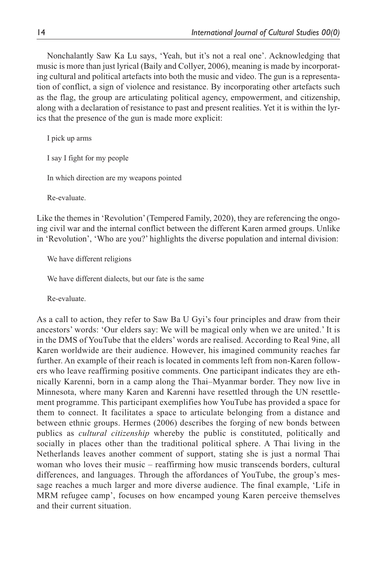Nonchalantly Saw Ka Lu says, 'Yeah, but it's not a real one'. Acknowledging that music is more than just lyrical (Baily and Collyer, 2006), meaning is made by incorporating cultural and political artefacts into both the music and video. The gun is a representation of conflict, a sign of violence and resistance. By incorporating other artefacts such as the flag, the group are articulating political agency, empowerment, and citizenship, along with a declaration of resistance to past and present realities. Yet it is within the lyrics that the presence of the gun is made more explicit:

I pick up arms I say I fight for my people In which direction are my weapons pointed Re-evaluate.

Like the themes in 'Revolution' (Tempered Family, 2020), they are referencing the ongoing civil war and the internal conflict between the different Karen armed groups. Unlike in 'Revolution', 'Who are you?' highlights the diverse population and internal division:

We have different religions

We have different dialects, but our fate is the same

Re-evaluate.

As a call to action, they refer to Saw Ba U Gyi's four principles and draw from their ancestors' words: 'Our elders say: We will be magical only when we are united.' It is in the DMS of YouTube that the elders' words are realised. According to Real 9ine, all Karen worldwide are their audience. However, his imagined community reaches far further. An example of their reach is located in comments left from non-Karen followers who leave reaffirming positive comments. One participant indicates they are ethnically Karenni, born in a camp along the Thai–Myanmar border. They now live in Minnesota, where many Karen and Karenni have resettled through the UN resettlement programme. This participant exemplifies how YouTube has provided a space for them to connect. It facilitates a space to articulate belonging from a distance and between ethnic groups. Hermes (2006) describes the forging of new bonds between publics as *cultural citizenship* whereby the public is constituted, politically and socially in places other than the traditional political sphere. A Thai living in the Netherlands leaves another comment of support, stating she is just a normal Thai woman who loves their music – reaffirming how music transcends borders, cultural differences, and languages. Through the affordances of YouTube, the group's message reaches a much larger and more diverse audience. The final example, 'Life in MRM refugee camp', focuses on how encamped young Karen perceive themselves and their current situation.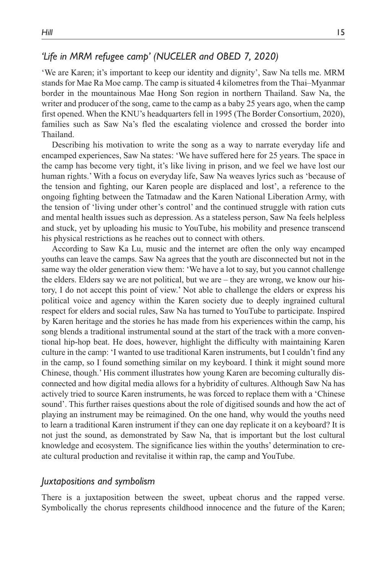# *'Life in MRM refugee camp' (NUCELER and OBED 7, 2020)*

'We are Karen; it's important to keep our identity and dignity', Saw Na tells me. MRM stands for Mae Ra Moe camp. The camp is situated 4 kilometres from the Thai–Myanmar border in the mountainous Mae Hong Son region in northern Thailand. Saw Na, the writer and producer of the song, came to the camp as a baby 25 years ago, when the camp first opened. When the KNU's headquarters fell in 1995 (The Border Consortium, 2020), families such as Saw Na's fled the escalating violence and crossed the border into Thailand.

Describing his motivation to write the song as a way to narrate everyday life and encamped experiences, Saw Na states: 'We have suffered here for 25 years. The space in the camp has become very tight, it's like living in prison, and we feel we have lost our human rights.' With a focus on everyday life, Saw Na weaves lyrics such as 'because of the tension and fighting, our Karen people are displaced and lost', a reference to the ongoing fighting between the Tatmadaw and the Karen National Liberation Army, with the tension of 'living under other's control' and the continued struggle with ration cuts and mental health issues such as depression. As a stateless person, Saw Na feels helpless and stuck, yet by uploading his music to YouTube, his mobility and presence transcend his physical restrictions as he reaches out to connect with others.

According to Saw Ka Lu, music and the internet are often the only way encamped youths can leave the camps. Saw Na agrees that the youth are disconnected but not in the same way the older generation view them: 'We have a lot to say, but you cannot challenge the elders. Elders say we are not political, but we are – they are wrong, we know our history, I do not accept this point of view.' Not able to challenge the elders or express his political voice and agency within the Karen society due to deeply ingrained cultural respect for elders and social rules, Saw Na has turned to YouTube to participate. Inspired by Karen heritage and the stories he has made from his experiences within the camp, his song blends a traditional instrumental sound at the start of the track with a more conventional hip-hop beat. He does, however, highlight the difficulty with maintaining Karen culture in the camp: 'I wanted to use traditional Karen instruments, but I couldn't find any in the camp, so I found something similar on my keyboard. I think it might sound more Chinese, though.' His comment illustrates how young Karen are becoming culturally disconnected and how digital media allows for a hybridity of cultures. Although Saw Na has actively tried to source Karen instruments, he was forced to replace them with a 'Chinese sound'. This further raises questions about the role of digitised sounds and how the act of playing an instrument may be reimagined. On the one hand, why would the youths need to learn a traditional Karen instrument if they can one day replicate it on a keyboard? It is not just the sound, as demonstrated by Saw Na, that is important but the lost cultural knowledge and ecosystem. The significance lies within the youths' determination to create cultural production and revitalise it within rap, the camp and YouTube.

#### *Juxtapositions and symbolism*

There is a juxtaposition between the sweet, upbeat chorus and the rapped verse. Symbolically the chorus represents childhood innocence and the future of the Karen;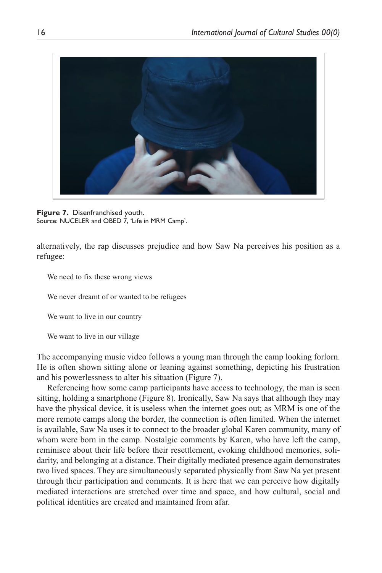

**Figure 7.** Disenfranchised youth. Source: NUCELER and OBED 7, 'Life in MRM Camp'.

alternatively, the rap discusses prejudice and how Saw Na perceives his position as a refugee:

We need to fix these wrong views

We never dreamt of or wanted to be refugees

We want to live in our country

We want to live in our village

The accompanying music video follows a young man through the camp looking forlorn. He is often shown sitting alone or leaning against something, depicting his frustration and his powerlessness to alter his situation (Figure 7).

Referencing how some camp participants have access to technology, the man is seen sitting, holding a smartphone (Figure 8). Ironically, Saw Na says that although they may have the physical device, it is useless when the internet goes out; as MRM is one of the more remote camps along the border, the connection is often limited. When the internet is available, Saw Na uses it to connect to the broader global Karen community, many of whom were born in the camp. Nostalgic comments by Karen, who have left the camp, reminisce about their life before their resettlement, evoking childhood memories, solidarity, and belonging at a distance. Their digitally mediated presence again demonstrates two lived spaces. They are simultaneously separated physically from Saw Na yet present through their participation and comments. It is here that we can perceive how digitally mediated interactions are stretched over time and space, and how cultural, social and political identities are created and maintained from afar.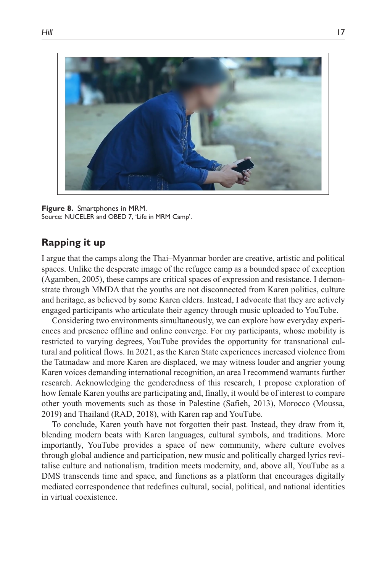

**Figure 8.** Smartphones in MRM. Source: NUCELER and OBED 7, 'Life in MRM Camp'.

# **Rapping it up**

I argue that the camps along the Thai–Myanmar border are creative, artistic and political spaces. Unlike the desperate image of the refugee camp as a bounded space of exception (Agamben, 2005), these camps are critical spaces of expression and resistance. I demonstrate through MMDA that the youths are not disconnected from Karen politics, culture and heritage, as believed by some Karen elders. Instead, I advocate that they are actively engaged participants who articulate their agency through music uploaded to YouTube.

Considering two environments simultaneously, we can explore how everyday experiences and presence offline and online converge. For my participants, whose mobility is restricted to varying degrees, YouTube provides the opportunity for transnational cultural and political flows. In 2021, as the Karen State experiences increased violence from the Tatmadaw and more Karen are displaced, we may witness louder and angrier young Karen voices demanding international recognition, an area I recommend warrants further research. Acknowledging the genderedness of this research, I propose exploration of how female Karen youths are participating and, finally, it would be of interest to compare other youth movements such as those in Palestine (Safieh, 2013), Morocco (Moussa, 2019) and Thailand (RAD, 2018), with Karen rap and YouTube.

To conclude, Karen youth have not forgotten their past. Instead, they draw from it, blending modern beats with Karen languages, cultural symbols, and traditions. More importantly, YouTube provides a space of new community, where culture evolves through global audience and participation, new music and politically charged lyrics revitalise culture and nationalism, tradition meets modernity, and, above all, YouTube as a DMS transcends time and space, and functions as a platform that encourages digitally mediated correspondence that redefines cultural, social, political, and national identities in virtual coexistence.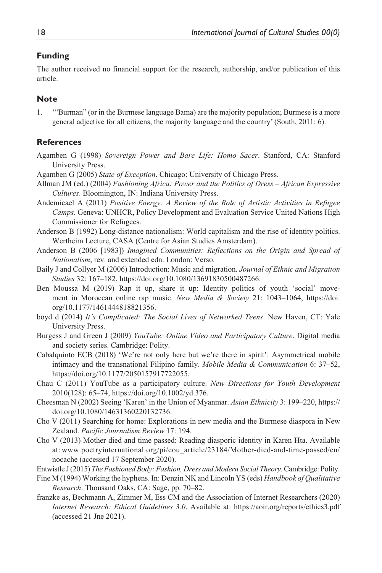#### **Funding**

The author received no financial support for the research, authorship, and/or publication of this article.

#### **Note**

1. '"Burman" (or in the Burmese language Bama) are the majority population; Burmese is a more general adjective for all citizens, the majority language and the country' (South, 2011: 6).

#### **References**

- Agamben G (1998) *Sovereign Power and Bare Life: Homo Sacer*. Stanford, CA: Stanford University Press.
- Agamben G (2005) *State of Exception*. Chicago: University of Chicago Press.
- Allman JM (ed.) (2004) *Fashioning Africa: Power and the Politics of Dress African Expressive Cultures*. Bloomington, IN: Indiana University Press.
- Andemicael A (2011) *Positive Energy: A Review of the Role of Artistic Activities in Refugee Camps*. Geneva: UNHCR, Policy Development and Evaluation Service United Nations High Commissioner for Refugees.
- Anderson B (1992) Long-distance nationalism: World capitalism and the rise of identity politics. Wertheim Lecture, CASA (Centre for Asian Studies Amsterdam).
- Anderson B (2006 [1983]) *Imagined Communities: Reflections on the Origin and Spread of Nationalism*, rev. and extended edn. London: Verso.
- Baily J and Collyer M (2006) Introduction: Music and migration. *Journal of Ethnic and Migration Studies* 32: 167–182, <https://doi.org/10.1080/13691830500487266>.
- Ben Moussa M (2019) Rap it up, share it up: Identity politics of youth 'social' movement in Moroccan online rap music. *New Media & Society* 21: 1043–1064, [https://doi.](https://doi.org/10.1177/1461444818821356) [org/10.1177/1461444818821356.](https://doi.org/10.1177/1461444818821356)
- boyd d (2014) *It's Complicated: The Social Lives of Networked Teens*. New Haven, CT: Yale University Press.
- Burgess J and Green J (2009) *YouTube: Online Video and Participatory Culture*. Digital media and society series. Cambridge: Polity.
- Cabalquinto ECB (2018) 'We're not only here but we're there in spirit': Asymmetrical mobile intimacy and the transnational Filipino family. *Mobile Media & Communication* 6: 37–52, [https://doi.org/10.1177/2050157917722055.](https://doi.org/10.1177/2050157917722055)
- Chau C (2011) YouTube as a participatory culture. *New Directions for Youth Development* 2010(128): 65–74, [https://doi.org/10.1002/yd.376.](https://doi.org/10.1002/yd.376)
- Cheesman N (2002) Seeing 'Karen' in the Union of Myanmar. *Asian Ethnicity* 3: 199–220, [https://](https://doi.org/10.1080/14631360220132736) [doi.org/10.1080/14631360220132736](https://doi.org/10.1080/14631360220132736).
- Cho V (2011) Searching for home: Explorations in new media and the Burmese diaspora in New Zealand. *Pacific Journalism Review* 17: 194.
- Cho V (2013) Mother died and time passed: Reading diasporic identity in Karen Hta. Available at: [www.poetryinternational.org/pi/cou\\_article/23184/Mother-died-and-time-passed/en/](www.poetryinternational.org/pi/cou_article/23184/Mother-died-and-time-passed/en/nocache) [nocache](www.poetryinternational.org/pi/cou_article/23184/Mother-died-and-time-passed/en/nocache) (accessed 17 September 2020).
- Entwistle J (2015) *The Fashioned Body: Fashion, Dress and Modern Social Theory*. Cambridge: Polity.
- Fine M (1994) Working the hyphens. In: Denzin NK and Lincoln YS (eds) *Handbook of Qualitative Research*. Thousand Oaks, CA: Sage, pp. 70–82.
- franzke as, Bechmann A, Zimmer M, Ess CM and the Association of Internet Researchers (2020) *Internet Research: Ethical Guidelines 3.0*. Available at: <https://aoir.org/reports/ethics3.pdf> (accessed 21 Jne 2021).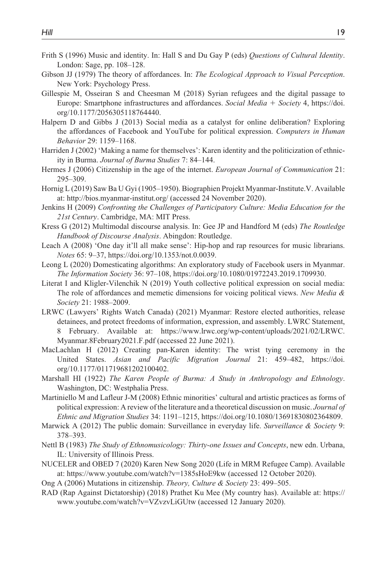- Frith S (1996) Music and identity. In: Hall S and Du Gay P (eds) *Questions of Cultural Identity*. London: Sage, pp. 108–128.
- Gibson JJ (1979) The theory of affordances. In: *The Ecological Approach to Visual Perception*. New York: Psychology Press.
- Gillespie M, Osseiran S and Cheesman M (2018) Syrian refugees and the digital passage to Europe: Smartphone infrastructures and affordances. *Social Media* + *Society* 4, [https://doi.](https://doi.org/10.1177/2056305118764440) [org/10.1177/2056305118764440](https://doi.org/10.1177/2056305118764440).
- Halpern D and Gibbs J (2013) Social media as a catalyst for online deliberation? Exploring the affordances of Facebook and YouTube for political expression. *Computers in Human Behavior* 29: 1159–1168.
- Harriden J (2002) 'Making a name for themselves': Karen identity and the politicization of ethnicity in Burma. *Journal of Burma Studies* 7: 84–144.
- Hermes J (2006) Citizenship in the age of the internet. *European Journal of Communication* 21: 295–309.
- Hornig L (2019) Saw Ba U Gyi (1905–1950). Biographien Projekt Myanmar-Institute.V. Available at:<http://bios.myanmar-institut.org/>(accessed 24 November 2020).
- Jenkins H (2009) *Confronting the Challenges of Participatory Culture: Media Education for the 21st Century*. Cambridge, MA: MIT Press.
- Kress G (2012) Multimodal discourse analysis. In: Gee JP and Handford M (eds) *The Routledge Handbook of Discourse Analysis*. Abingdon: Routledge.
- Leach A (2008) 'One day it'll all make sense': Hip-hop and rap resources for music librarians. *Notes* 65: 9–37, [https://doi.org/10.1353/not.0.0039.](https://doi.org/10.1353/not.0.0039)
- Leong L (2020) Domesticating algorithms: An exploratory study of Facebook users in Myanmar. *The Information Society* 36: 97–108, [https://doi.org/10.1080/01972243.2019.1709930.](https://doi.org/10.1080/01972243.2019.1709930)
- Literat I and Kligler-Vilenchik N (2019) Youth collective political expression on social media: The role of affordances and memetic dimensions for voicing political views. *New Media & Society* 21: 1988–2009.
- LRWC (Lawyers' Rights Watch Canada) (2021) Myanmar: Restore elected authorities, release detainees, and protect freedoms of information, expression, and assembly. LWRC Statement, 8 February. Available at: [https://www.lrwc.org/wp-content/uploads/2021/02/LRWC.](https://www.lrwc.org/wp-content/uploads/2021/02/LRWC.Myanmar.8February2021.F.pdf) [Myanmar.8February2021.F.pdf](https://www.lrwc.org/wp-content/uploads/2021/02/LRWC.Myanmar.8February2021.F.pdf) (accessed 22 June 2021).
- MacLachlan H (2012) Creating pan-Karen identity: The wrist tying ceremony in the United States. *Asian and Pacific Migration Journal* 21: 459–482, [https://doi.](https://doi.org/10.1177/011719681202100402) [org/10.1177/011719681202100402](https://doi.org/10.1177/011719681202100402).
- Marshall HI (1922) *The Karen People of Burma: A Study in Anthropology and Ethnology*. Washington, DC: Westphalia Press.
- Martiniello M and Lafleur J-M (2008) Ethnic minorities' cultural and artistic practices as forms of political expression: A review of the literature and a theoretical discussion on music. *Journal of Ethnic and Migration Studies* 34: 1191–1215, [https://doi.org/10.1080/13691830802364809.](https://doi.org/10.1080/13691830802364809)
- Marwick A (2012) The public domain: Surveillance in everyday life. *Surveillance & Society* 9: 378–393.
- Nettl B (1983) *The Study of Ethnomusicology: Thirty-one Issues and Concepts*, new edn. Urbana, IL: University of Illinois Press.
- NUCELER and OBED 7 (2020) Karen New Song 2020 (Life in MRM Refugee Camp). Available at:<https://www.youtube.com/watch?v=1385sHoE9kw> (accessed 12 October 2020).

Ong A (2006) Mutations in citizenship. *Theory, Culture & Society* 23: 499–505.

RAD (Rap Against Dictatorship) (2018) Prathet Ku Mee (My country has). Available at: [https://](https://www.youtube.com/watch?v=VZvzvLiGUtw) [www.youtube.com/watch?v=VZvzvLiGUtw](https://www.youtube.com/watch?v=VZvzvLiGUtw) (accessed 12 January 2020).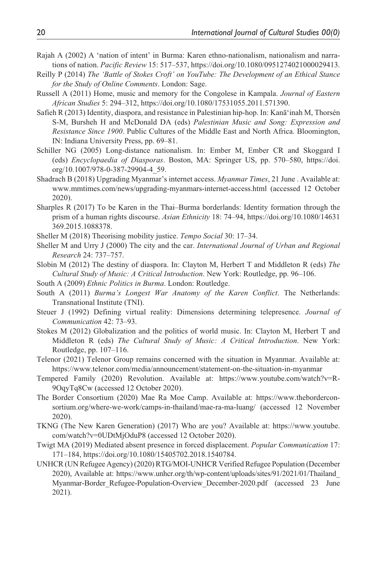- Rajah A (2002) A 'nation of intent' in Burma: Karen ethno-nationalism, nationalism and narrations of nation. *Pacific Review* 15: 517–537, [https://doi.org/10.1080/0951274021000029413.](https://doi.org/10.1080/0951274021000029413)
- Reilly P (2014) *The 'Battle of Stokes Croft' on YouTube: The Development of an Ethical Stance for the Study of Online Comments*. London: Sage.
- Russell A (2011) Home, music and memory for the Congolese in Kampala. *Journal of Eastern African Studies* 5: 294–312, [https://doi.org/10.1080/17531055.2011.571390.](https://doi.org/10.1080/17531055.2011.571390)
- Safieh R (2013) Identity, diaspora, and resistance in Palestinian hip-hop. In: Kanāʻinah M, Thorsén S-M, Bursheh H and McDonald DA (eds) *Palestinian Music and Song: Expression and Resistance Since 1900*. Public Cultures of the Middle East and North Africa. Bloomington, IN: Indiana University Press, pp. 69–81.
- Schiller NG (2005) Long-distance nationalism. In: Ember M, Ember CR and Skoggard I (eds) *Encyclopaedia of Diasporas*. Boston, MA: Springer US, pp. 570–580, [https://doi.](https://doi.org/10.1007/978-0-387-29904-4_59) [org/10.1007/978-0-387-29904-4\\_59.](https://doi.org/10.1007/978-0-387-29904-4_59)
- Shadrach B (2018) Upgrading Myanmar's internet access. *Myanmar Times*, 21 June . Available at: <www.mmtimes.com/news/upgrading-myanmars-internet-access.html> (accessed 12 October 2020).
- Sharples R (2017) To be Karen in the Thai–Burma borderlands: Identity formation through the prism of a human rights discourse. *Asian Ethnicity* 18: 74–94, [https://doi.org/10.1080/14631](https://doi.org/10.1080/14631369.2015.1088378) [369.2015.1088378](https://doi.org/10.1080/14631369.2015.1088378).

Sheller M (2018) Theorising mobility justice. *Tempo Social* 30: 17–34.

- Sheller M and Urry J (2000) The city and the car. *International Journal of Urban and Regional Research* 24: 737–757.
- Slobin M (2012) The destiny of diaspora. In: Clayton M, Herbert T and Middleton R (eds) *The Cultural Study of Music: A Critical Introduction*. New York: Routledge, pp. 96–106.
- South A (2009) *Ethnic Politics in Burma*. London: Routledge.
- South A (2011) *Burma's Longest War Anatomy of the Karen Conflict*. The Netherlands: Transnational Institute (TNI).
- Steuer J (1992) Defining virtual reality: Dimensions determining telepresence. *Journal of Communication* 42: 73–93.
- Stokes M (2012) Globalization and the politics of world music. In: Clayton M, Herbert T and Middleton R (eds) *The Cultural Study of Music: A Critical Introduction*. New York: Routledge, pp. 107–116.
- Telenor (2021) Telenor Group remains concerned with the situation in Myanmar. Available at: <https://www.telenor.com/media/announcement/statement-on-the-situation-in-myanmar>
- Tempered Family (2020) Revolution. Available at: [https://www.youtube.com/watch?v=R-](https://www.youtube.com/watch?v=R-9OqyTq8Cw)[9OqyTq8Cw](https://www.youtube.com/watch?v=R-9OqyTq8Cw) (accessed 12 October 2020).
- The Border Consortium (2020) Mae Ra Moe Camp. Available at: [https://www.thebordercon](https://www.theborderconsortium.org/where-we-work/camps-in-thailand/mae-ra-ma-luang/)[sortium.org/where-we-work/camps-in-thailand/mae-ra-ma-luang/](https://www.theborderconsortium.org/where-we-work/camps-in-thailand/mae-ra-ma-luang/) (accessed 12 November 2020).
- TKNG (The New Karen Generation) (2017) Who are you? Available at: [https://www.youtube.](https://www.youtube.com/watch?v=0UDtMjOduP8) [com/watch?v=0UDtMjOduP8](https://www.youtube.com/watch?v=0UDtMjOduP8) (accessed 12 October 2020).
- Twigt MA (2019) Mediated absent presence in forced displacement. *Popular Communication* 17: 171–184, [https://doi.org/10.1080/15405702.2018.1540784.](https://doi.org/10.1080/15405702.2018.1540784)
- UNHCR (UN Refugee Agency) (2020) RTG/MOI-UNHCR Verified Refugee Population (December 2020), Available at: [https://www.unhcr.org/th/wp-content/uploads/sites/91/2021/01/Thailand\\_](https://www.unhcr.org/th/wp-content/uploads/sites/91/2021/01/Thailand_Myanmar-Border_Refugee-Population-Overview_December-2020.pdf) Myanmar-Border Refugee-Population-Overview\_December-2020.pdf (accessed 23 June 2021).